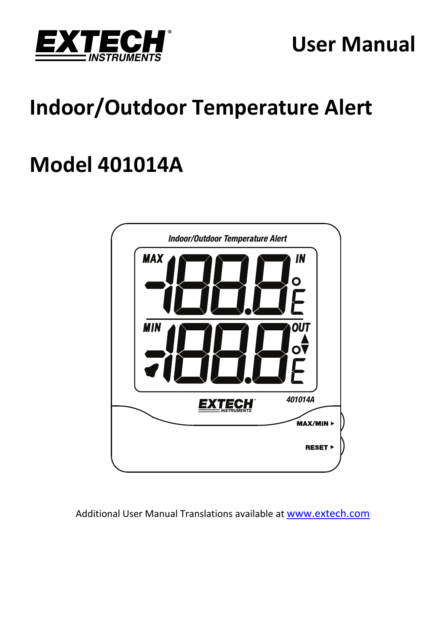

# **User Manual**

# **Indoor/Outdoor Temperature Alert**

# **Model 401014A**



Additional User Manual Translations available at www.extech.com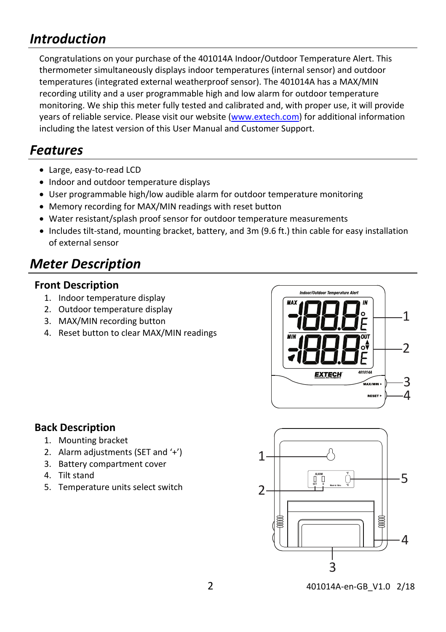# *Introduction*

Congratulations on your purchase of the 401014A Indoor/Outdoor Temperature Alert. This thermometer simultaneously displays indoor temperatures (internal sensor) and outdoor temperatures (integrated external weatherproof sensor). The 401014A has a MAX/MIN recording utility and a user programmable high and low alarm for outdoor temperature monitoring. We ship this meter fully tested and calibrated and, with proper use, it will provide years of reliable service. Please visit our website (www.extech.com) for additional information including the latest version of this User Manual and Customer Support.

## *Features*

- Large, easy-to-read LCD
- Indoor and outdoor temperature displays
- User programmable high/low audible alarm for outdoor temperature monitoring
- Memory recording for MAX/MIN readings with reset button
- Water resistant/splash proof sensor for outdoor temperature measurements
- Includes tilt-stand, mounting bracket, battery, and 3m (9.6 ft.) thin cable for easy installation of external sensor

# *Meter Description*

#### **Front Description**

- 1. Indoor temperature display
- 2. Outdoor temperature display
- 3. MAX/MIN recording button
- 4. Reset button to clear MAX/MIN readings



#### **Back Description**

- 1. Mounting bracket
- 2. Alarm adjustments (SET and '+')
- 3. Battery compartment cover
- 4. Tilt stand
- 5. Temperature units select switch

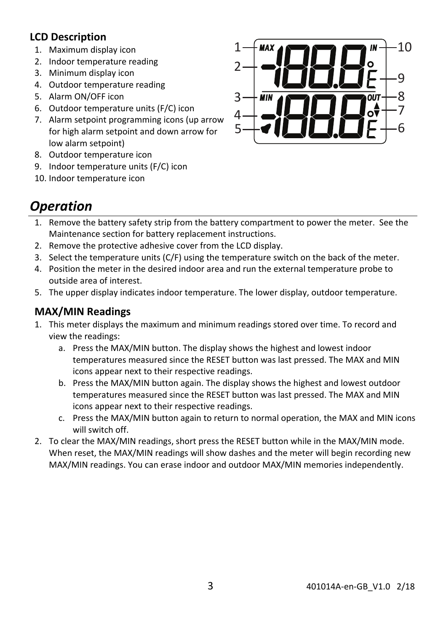#### **LCD Description**

- 1. Maximum display icon
- 2. Indoor temperature reading
- 3. Minimum display icon
- 4. Outdoor temperature reading
- 5. Alarm ON/OFF icon
- 6. Outdoor temperature units (F/C) icon
- 7. Alarm setpoint programming icons (up arrow for high alarm setpoint and down arrow for low alarm setpoint)
- 8. Outdoor temperature icon
- 9. Indoor temperature units (F/C) icon
- 10. Indoor temperature icon



# *Operation*

- 1. Remove the battery safety strip from the battery compartment to power the meter. See the Maintenance section for battery replacement instructions.
- 2. Remove the protective adhesive cover from the LCD display.
- 3. Select the temperature units (C/F) using the temperature switch on the back of the meter.
- 4. Position the meter in the desired indoor area and run the external temperature probe to outside area of interest.
- 5. The upper display indicates indoor temperature. The lower display, outdoor temperature.

### **MAX/MIN Readings**

- 1. This meter displays the maximum and minimum readings stored over time. To record and view the readings:
	- a. Press the MAX/MIN button. The display shows the highest and lowest indoor temperatures measured since the RESET button was last pressed. The MAX and MIN icons appear next to their respective readings.
	- b. Press the MAX/MIN button again. The display shows the highest and lowest outdoor temperatures measured since the RESET button was last pressed. The MAX and MIN icons appear next to their respective readings.
	- c. Press the MAX/MIN button again to return to normal operation, the MAX and MIN icons will switch off.
- 2. To clear the MAX/MIN readings, short press the RESET button while in the MAX/MIN mode. When reset, the MAX/MIN readings will show dashes and the meter will begin recording new MAX/MIN readings. You can erase indoor and outdoor MAX/MIN memories independently.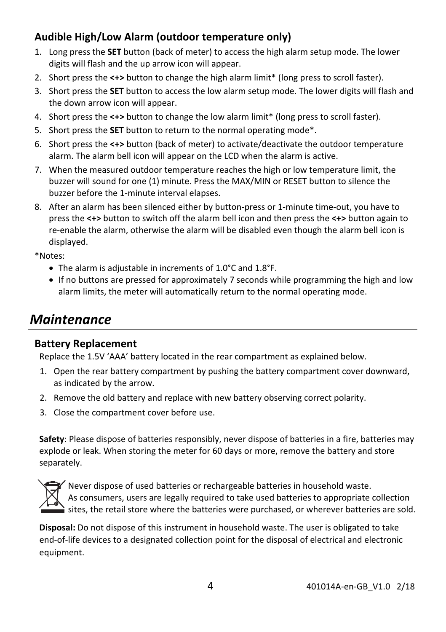### **Audible High/Low Alarm (outdoor temperature only)**

- 1. Long press the **SET** button (back of meter) to access the high alarm setup mode. The lower digits will flash and the up arrow icon will appear.
- 2. Short press the **<+>** button to change the high alarm limit\* (long press to scroll faster).
- 3. Short press the **SET** button to access the low alarm setup mode. The lower digits will flash and the down arrow icon will appear.
- 4. Short press the **<+>** button to change the low alarm limit\* (long press to scroll faster).
- 5. Short press the **SET** button to return to the normal operating mode\*.
- 6. Short press the **<+>** button (back of meter) to activate/deactivate the outdoor temperature alarm. The alarm bell icon will appear on the LCD when the alarm is active.
- 7. When the measured outdoor temperature reaches the high or low temperature limit, the buzzer will sound for one (1) minute. Press the MAX/MIN or RESET button to silence the buzzer before the 1‐minute interval elapses.
- 8. After an alarm has been silenced either by button-press or 1-minute time-out, you have to press the **<+>** button to switch off the alarm bell icon and then press the **<+>** button again to re-enable the alarm, otherwise the alarm will be disabled even though the alarm bell icon is displayed.

\*Notes:

- The alarm is adjustable in increments of 1.0°C and 1.8°F.
- If no buttons are pressed for approximately 7 seconds while programming the high and low alarm limits, the meter will automatically return to the normal operating mode.

## *Maintenance*

#### **Battery Replacement**

Replace the 1.5V 'AAA' battery located in the rear compartment as explained below.

- 1. Open the rear battery compartment by pushing the battery compartment cover downward, as indicated by the arrow.
- 2. Remove the old battery and replace with new battery observing correct polarity.
- 3. Close the compartment cover before use.

**Safety**: Please dispose of batteries responsibly, never dispose of batteries in a fire, batteries may explode or leak. When storing the meter for 60 days or more, remove the battery and store separately.



Never dispose of used batteries or rechargeable batteries in household waste. As consumers, users are legally required to take used batteries to appropriate collection i sites, the retail store where the batteries were purchased, or wherever batteries are sold.

**Disposal:** Do not dispose of this instrument in household waste. The user is obligated to take end‐of‐life devices to a designated collection point for the disposal of electrical and electronic equipment.